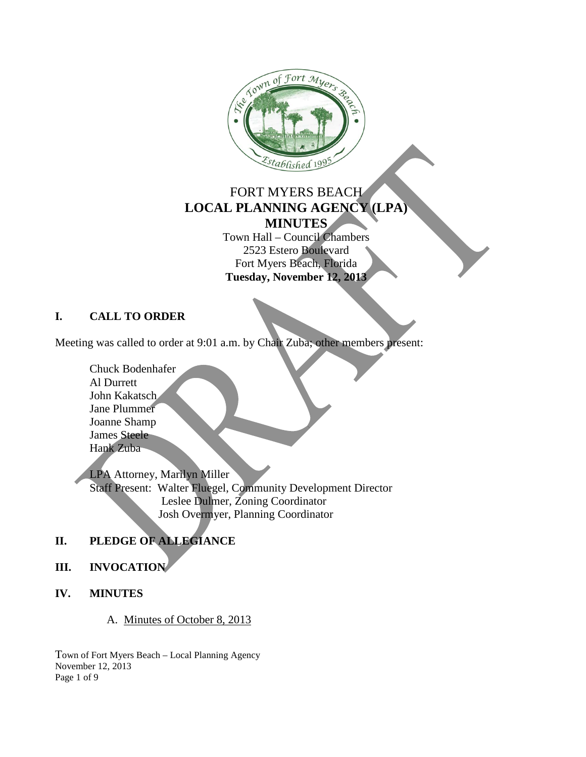

## FORT MYERS BEACH **LOCAL PLANNING AGENCY (LPA) MINUTES**

Town Hall – Council Chambers 2523 Estero Boulevard Fort Myers Beach, Florida **Tuesday, November 12, 2013**

## **I. CALL TO ORDER**

Meeting was called to order at 9:01 a.m. by Chair Zuba; other members present:

Chuck Bodenhafer Al Durrett John Kakatsch Jane Plummer Joanne Shamp James Steele Hank Zuba

LPA Attorney, Marilyn Miller Staff Present: Walter Fluegel, Community Development Director Leslee Dulmer, Zoning Coordinator Josh Overmyer, Planning Coordinator

## **II. PLEDGE OF ALLEGIANCE**

#### **III. INVOCATION**

#### **IV. MINUTES**

A. Minutes of October 8, 2013

Town of Fort Myers Beach – Local Planning Agency November 12, 2013 Page 1 of 9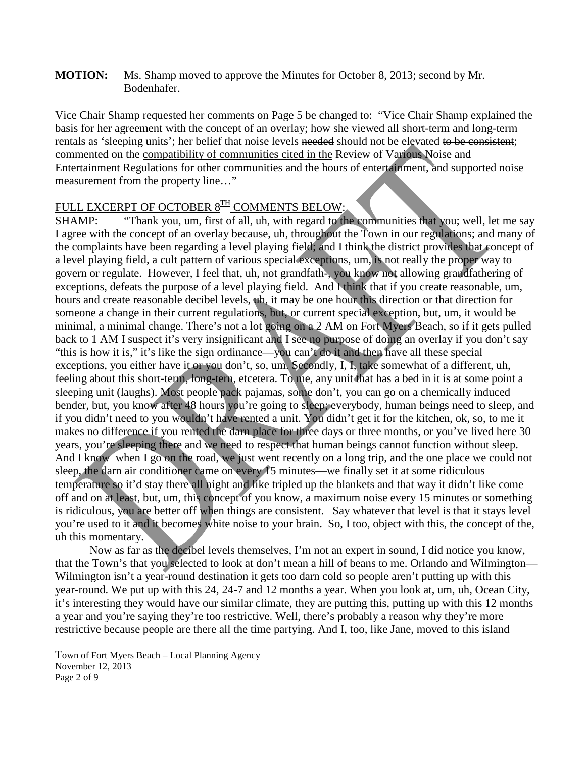**MOTION:** Ms. Shamp moved to approve the Minutes for October 8, 2013; second by Mr. Bodenhafer.

Vice Chair Shamp requested her comments on Page 5 be changed to: "Vice Chair Shamp explained the basis for her agreement with the concept of an overlay; how she viewed all short-term and long-term rentals as 'sleeping units'; her belief that noise levels needed should not be elevated to be consistent; commented on the compatibility of communities cited in the Review of Various Noise and Entertainment Regulations for other communities and the hours of entertainment, and supported noise measurement from the property line…"

# FULL EXCERPT OF OCTOBER 8<sup>TH</sup> COMMENTS BELOW:

SHAMP: "Thank you, um, first of all, uh, with regard to the communities that you; well, let me say I agree with the concept of an overlay because, uh, throughout the Town in our regulations; and many of the complaints have been regarding a level playing field; and I think the district provides that concept of a level playing field, a cult pattern of various special exceptions, um, is not really the proper way to govern or regulate. However, I feel that, uh, not grandfath-, you know not allowing grandfathering of exceptions, defeats the purpose of a level playing field. And I think that if you create reasonable, um, hours and create reasonable decibel levels, uh, it may be one hour this direction or that direction for someone a change in their current regulations, but, or current special exception, but, um, it would be minimal, a minimal change. There's not a lot going on a 2 AM on Fort Myers Beach, so if it gets pulled back to 1 AM I suspect it's very insignificant and I see no purpose of doing an overlay if you don't say "this is how it is," it's like the sign ordinance—you can't do it and then have all these special exceptions, you either have it or you don't, so, um. Secondly, I, I, take somewhat of a different, uh, feeling about this short-term, long-tern, etcetera. To me, any unit that has a bed in it is at some point a sleeping unit (laughs). Most people pack pajamas, some don't, you can go on a chemically induced bender, but, you know after 48 hours you're going to sleep; everybody, human beings need to sleep, and if you didn't need to you wouldn't have rented a unit. You didn't get it for the kitchen, ok, so, to me it makes no difference if you rented the darn place for three days or three months, or you've lived here 30 years, you're sleeping there and we need to respect that human beings cannot function without sleep. And I know when I go on the road, we just went recently on a long trip, and the one place we could not sleep, the darn air conditioner came on every 15 minutes—we finally set it at some ridiculous temperature so it'd stay there all night and like tripled up the blankets and that way it didn't like come off and on at least, but, um, this concept of you know, a maximum noise every 15 minutes or something is ridiculous, you are better off when things are consistent. Say whatever that level is that it stays level you're used to it and it becomes white noise to your brain. So, I too, object with this, the concept of the, uh this momentary.

Now as far as the decibel levels themselves, I'm not an expert in sound, I did notice you know, that the Town's that you selected to look at don't mean a hill of beans to me. Orlando and Wilmington— Wilmington isn't a year-round destination it gets too darn cold so people aren't putting up with this year-round. We put up with this 24, 24-7 and 12 months a year. When you look at, um, uh, Ocean City, it's interesting they would have our similar climate, they are putting this, putting up with this 12 months a year and you're saying they're too restrictive. Well, there's probably a reason why they're more restrictive because people are there all the time partying. And I, too, like Jane, moved to this island

Town of Fort Myers Beach – Local Planning Agency November 12, 2013 Page 2 of 9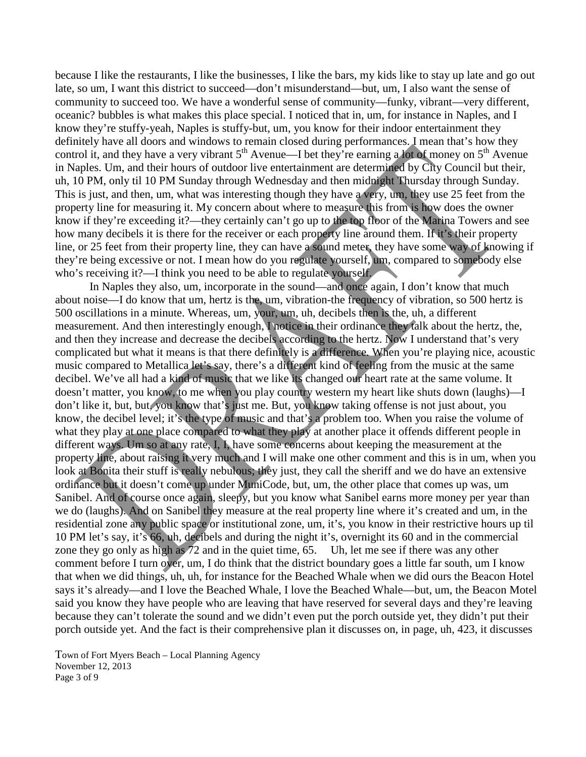because I like the restaurants, I like the businesses, I like the bars, my kids like to stay up late and go out late, so um, I want this district to succeed—don't misunderstand—but, um, I also want the sense of community to succeed too. We have a wonderful sense of community—funky, vibrant—very different, oceanic? bubbles is what makes this place special. I noticed that in, um, for instance in Naples, and I know they're stuffy-yeah, Naples is stuffy-but, um, you know for their indoor entertainment they definitely have all doors and windows to remain closed during performances. I mean that's how they control it, and they have a very vibrant  $5<sup>th</sup>$  Avenue—I bet they're earning a lot of money on  $5<sup>th</sup>$  Avenue in Naples. Um, and their hours of outdoor live entertainment are determined by City Council but their, uh, 10 PM, only til 10 PM Sunday through Wednesday and then midnight Thursday through Sunday. This is just, and then, um, what was interesting though they have a very, um, they use 25 feet from the property line for measuring it. My concern about where to measure this from is how does the owner know if they're exceeding it?—they certainly can't go up to the top floor of the Marina Towers and see how many decibels it is there for the receiver or each property line around them. If it's their property line, or 25 feet from their property line, they can have a sound meter, they have some way of knowing if they're being excessive or not. I mean how do you regulate yourself, um, compared to somebody else who's receiving it?—I think you need to be able to regulate yourself.

In Naples they also, um, incorporate in the sound—and once again, I don't know that much about noise—I do know that um, hertz is the, um, vibration-the frequency of vibration, so 500 hertz is 500 oscillations in a minute. Whereas, um, your, um, uh, decibels then is the, uh, a different measurement. And then interestingly enough, I notice in their ordinance they talk about the hertz, the, and then they increase and decrease the decibels according to the hertz. Now I understand that's very complicated but what it means is that there definitely is a difference. When you're playing nice, acoustic music compared to Metallica let's say, there's a different kind of feeling from the music at the same decibel. We've all had a kind of music that we like its changed our heart rate at the same volume. It doesn't matter, you know, to me when you play country western my heart like shuts down (laughs)—I don't like it, but, but, you know that's just me. But, you know taking offense is not just about, you know, the decibel level; it's the type of music and that's a problem too. When you raise the volume of what they play at one place compared to what they play at another place it offends different people in different ways. Um so at any rate, I, I, have some concerns about keeping the measurement at the property line, about raising it very much and I will make one other comment and this is in um, when you look at Bonita their stuff is really nebulous; they just, they call the sheriff and we do have an extensive ordinance but it doesn't come up under MuniCode, but, um, the other place that comes up was, um Sanibel. And of course once again, sleepy, but you know what Sanibel earns more money per year than we do (laughs). And on Sanibel they measure at the real property line where it's created and um, in the residential zone any public space or institutional zone, um, it's, you know in their restrictive hours up til 10 PM let's say, it's 66, uh, decibels and during the night it's, overnight its 60 and in the commercial zone they go only as high as 72 and in the quiet time, 65. Uh, let me see if there was any other comment before I turn over, um, I do think that the district boundary goes a little far south, um I know that when we did things, uh, uh, for instance for the Beached Whale when we did ours the Beacon Hotel says it's already—and I love the Beached Whale, I love the Beached Whale—but, um, the Beacon Motel said you know they have people who are leaving that have reserved for several days and they're leaving because they can't tolerate the sound and we didn't even put the porch outside yet, they didn't put their porch outside yet. And the fact is their comprehensive plan it discusses on, in page, uh, 423, it discusses

Town of Fort Myers Beach – Local Planning Agency November 12, 2013 Page 3 of 9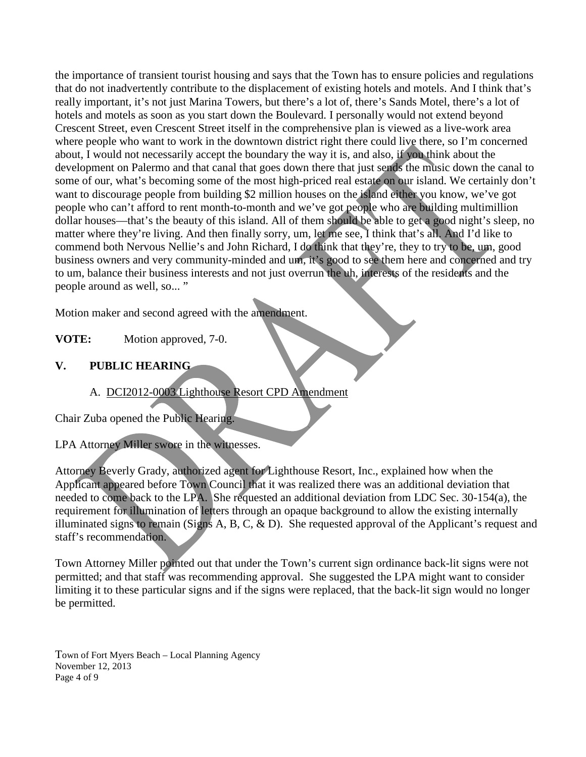the importance of transient tourist housing and says that the Town has to ensure policies and regulations that do not inadvertently contribute to the displacement of existing hotels and motels. And I think that's really important, it's not just Marina Towers, but there's a lot of, there's Sands Motel, there's a lot of hotels and motels as soon as you start down the Boulevard. I personally would not extend beyond Crescent Street, even Crescent Street itself in the comprehensive plan is viewed as a live-work area where people who want to work in the downtown district right there could live there, so I'm concerned about, I would not necessarily accept the boundary the way it is, and also, if you think about the development on Palermo and that canal that goes down there that just sends the music down the canal to some of our, what's becoming some of the most high-priced real estate on our island. We certainly don't want to discourage people from building \$2 million houses on the island either you know, we've got people who can't afford to rent month-to-month and we've got people who are building multimillion dollar houses—that's the beauty of this island. All of them should be able to get a good night's sleep, no matter where they're living. And then finally sorry, um, let me see, I think that's all. And I'd like to commend both Nervous Nellie's and John Richard, I do think that they're, they to try to be, um, good business owners and very community-minded and um, it's good to see them here and concerned and try to um, balance their business interests and not just overrun the uh, interests of the residents and the people around as well, so... "

Motion maker and second agreed with the amendment.

**VOTE:** Motion approved, 7-0.

## **V. PUBLIC HEARING**

## A. DCI2012-0003 Lighthouse Resort CPD Amendment

Chair Zuba opened the Public Hearing.

LPA Attorney Miller swore in the witnesses.

Attorney Beverly Grady, authorized agent for Lighthouse Resort, Inc., explained how when the Applicant appeared before Town Council that it was realized there was an additional deviation that needed to come back to the LPA. She requested an additional deviation from LDC Sec. 30-154(a), the requirement for illumination of letters through an opaque background to allow the existing internally illuminated signs to remain (Signs A, B, C, & D). She requested approval of the Applicant's request and staff's recommendation.

Town Attorney Miller pointed out that under the Town's current sign ordinance back-lit signs were not permitted; and that staff was recommending approval. She suggested the LPA might want to consider limiting it to these particular signs and if the signs were replaced, that the back-lit sign would no longer be permitted.

Town of Fort Myers Beach – Local Planning Agency November 12, 2013 Page 4 of 9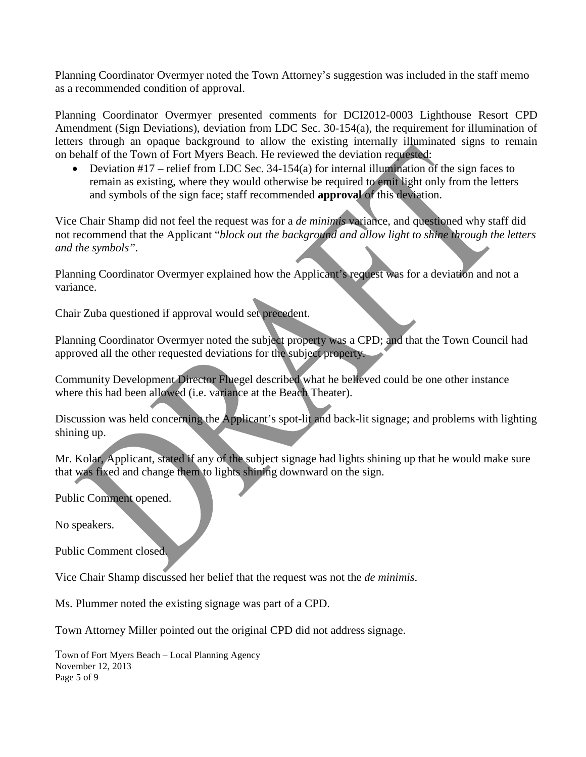Planning Coordinator Overmyer noted the Town Attorney's suggestion was included in the staff memo as a recommended condition of approval.

Planning Coordinator Overmyer presented comments for DCI2012-0003 Lighthouse Resort CPD Amendment (Sign Deviations), deviation from LDC Sec. 30-154(a), the requirement for illumination of letters through an opaque background to allow the existing internally illuminated signs to remain on behalf of the Town of Fort Myers Beach. He reviewed the deviation requested:

• Deviation  $#17$  – relief from LDC Sec. 34-154(a) for internal illumination of the sign faces to remain as existing, where they would otherwise be required to emit light only from the letters and symbols of the sign face; staff recommended **approval** of this deviation.

Vice Chair Shamp did not feel the request was for a *de minimis* variance, and questioned why staff did not recommend that the Applicant "*block out the background and allow light to shine through the letters and the symbols".*

Planning Coordinator Overmyer explained how the Applicant's request was for a deviation and not a variance.

Chair Zuba questioned if approval would set precedent.

Planning Coordinator Overmyer noted the subject property was a CPD; and that the Town Council had approved all the other requested deviations for the subject property.

Community Development Director Fluegel described what he believed could be one other instance where this had been allowed (i.e. variance at the Beach Theater).

Discussion was held concerning the Applicant's spot-lit and back-lit signage; and problems with lighting shining up.

Mr. Kolar, Applicant, stated if any of the subject signage had lights shining up that he would make sure that was fixed and change them to lights shining downward on the sign.

Public Comment opened.

No speakers.

Public Comment closed.

Vice Chair Shamp discussed her belief that the request was not the *de minimis*.

Ms. Plummer noted the existing signage was part of a CPD.

Town Attorney Miller pointed out the original CPD did not address signage.

Town of Fort Myers Beach – Local Planning Agency November 12, 2013 Page 5 of 9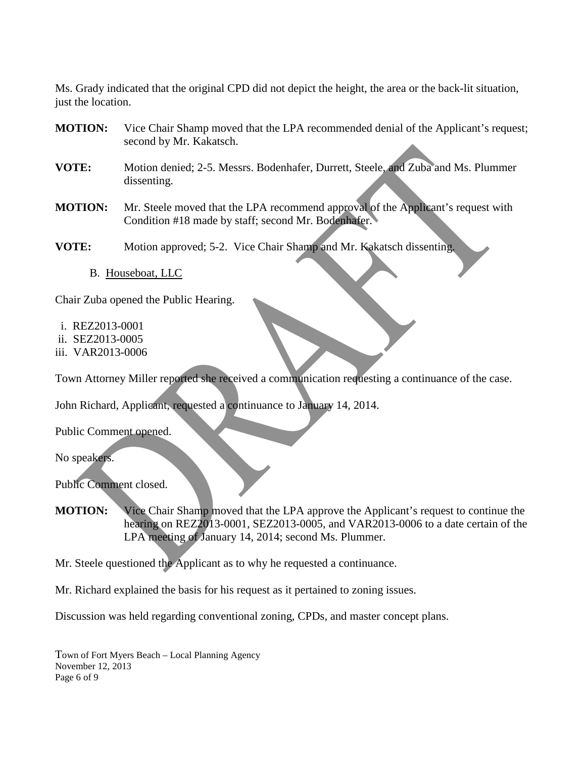Ms. Grady indicated that the original CPD did not depict the height, the area or the back-lit situation, just the location.

- **MOTION:** Vice Chair Shamp moved that the LPA recommended denial of the Applicant's request; second by Mr. Kakatsch.
- **VOTE:** Motion denied; 2-5. Messrs. Bodenhafer, Durrett, Steele, and Zuba and Ms. Plummer dissenting.
- **MOTION:** Mr. Steele moved that the LPA recommend approval of the Applicant's request with Condition #18 made by staff; second Mr. Bodenhafer.

**VOTE:** Motion approved; 5-2. Vice Chair Shamp and Mr. Kakatsch dissenting.

B. Houseboat, LLC

Chair Zuba opened the Public Hearing.

- i. REZ2013-0001
- ii. SEZ2013-0005
- iii. VAR2013-0006

Town Attorney Miller reported she received a communication requesting a continuance of the case.

John Richard, Applicant, requested a continuance to January 14, 2014.

Public Comment opened.

No speakers.

Public Comment closed.

**MOTION:** Vice Chair Shamp moved that the LPA approve the Applicant's request to continue the hearing on REZ2013-0001, SEZ2013-0005, and VAR2013-0006 to a date certain of the LPA meeting of January 14, 2014; second Ms. Plummer.

Mr. Steele questioned the Applicant as to why he requested a continuance.

Mr. Richard explained the basis for his request as it pertained to zoning issues.

Discussion was held regarding conventional zoning, CPDs, and master concept plans.

Town of Fort Myers Beach – Local Planning Agency November 12, 2013 Page 6 of 9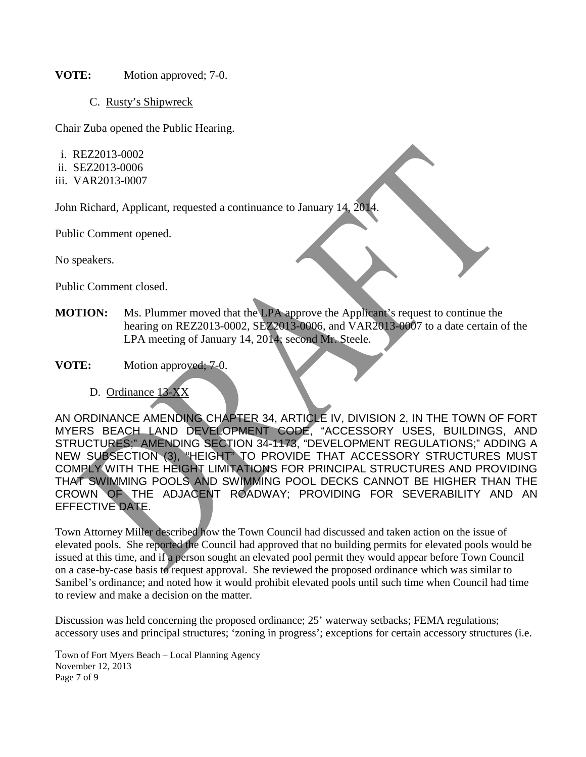#### **VOTE:** Motion approved; 7-0.

C. Rusty's Shipwreck

Chair Zuba opened the Public Hearing.

- i. REZ2013-0002
- ii. SEZ2013-0006
- iii. VAR2013-0007

John Richard, Applicant, requested a continuance to January 14, 2014.

Public Comment opened.

No speakers.

Public Comment closed.

- **MOTION:** Ms. Plummer moved that the LPA approve the Applicant's request to continue the hearing on REZ2013-0002, SEZ2013-0006, and VAR2013-0007 to a date certain of the LPA meeting of January 14, 2014; second Mr. Steele.
- **VOTE:** Motion approved; 7-0.
	- D. Ordinance 13-XX

AN ORDINANCE AMENDING CHAPTER 34, ARTICLE IV, DIVISION 2, IN THE TOWN OF FORT MYERS BEACH LAND DEVELOPMENT CODE, "ACCESSORY USES, BUILDINGS, AND STRUCTURES;" AMENDING SECTION 34-1173, "DEVELOPMENT REGULATIONS;" ADDING A NEW SUBSECTION (3), "HEIGHT" TO PROVIDE THAT ACCESSORY STRUCTURES MUST COMPLY WITH THE HEIGHT LIMITATIONS FOR PRINCIPAL STRUCTURES AND PROVIDING THAT SWIMMING POOLS AND SWIMMING POOL DECKS CANNOT BE HIGHER THAN THE CROWN OF THE ADJACENT ROADWAY; PROVIDING FOR SEVERABILITY AND AN EFFECTIVE DATE.

Town Attorney Miller described how the Town Council had discussed and taken action on the issue of elevated pools. She reported the Council had approved that no building permits for elevated pools would be issued at this time, and if a person sought an elevated pool permit they would appear before Town Council on a case-by-case basis to request approval. She reviewed the proposed ordinance which was similar to Sanibel's ordinance; and noted how it would prohibit elevated pools until such time when Council had time to review and make a decision on the matter.

Discussion was held concerning the proposed ordinance; 25' waterway setbacks; FEMA regulations; accessory uses and principal structures; 'zoning in progress'; exceptions for certain accessory structures (i.e.

Town of Fort Myers Beach – Local Planning Agency November 12, 2013 Page 7 of 9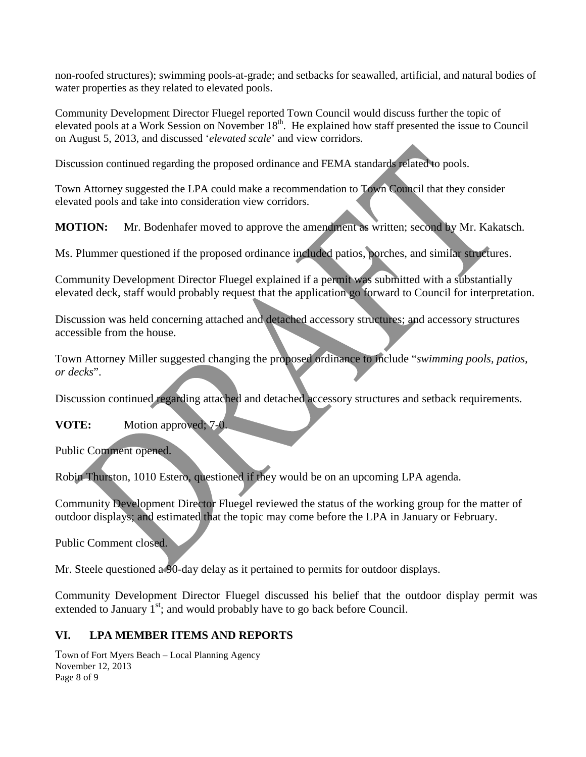non-roofed structures); swimming pools-at-grade; and setbacks for seawalled, artificial, and natural bodies of water properties as they related to elevated pools.

Community Development Director Fluegel reported Town Council would discuss further the topic of elevated pools at a Work Session on November 18<sup>th</sup>. He explained how staff presented the issue to Council on August 5, 2013, and discussed '*elevated scale*' and view corridors.

Discussion continued regarding the proposed ordinance and FEMA standards related to pools.

Town Attorney suggested the LPA could make a recommendation to Town Council that they consider elevated pools and take into consideration view corridors.

**MOTION:** Mr. Bodenhafer moved to approve the amendment as written; second by Mr. Kakatsch.

Ms. Plummer questioned if the proposed ordinance included patios, porches, and similar structures.

Community Development Director Fluegel explained if a permit was submitted with a substantially elevated deck, staff would probably request that the application go forward to Council for interpretation.

Discussion was held concerning attached and detached accessory structures; and accessory structures accessible from the house.

Town Attorney Miller suggested changing the proposed ordinance to include "*swimming pools, patios, or decks*".

Discussion continued regarding attached and detached accessory structures and setback requirements.

#### **VOTE:** Motion approved; 7-0.

Public Comment opened.

Robin Thurston, 1010 Estero, questioned if they would be on an upcoming LPA agenda.

Community Development Director Fluegel reviewed the status of the working group for the matter of outdoor displays; and estimated that the topic may come before the LPA in January or February.

Public Comment closed.

Mr. Steele questioned a 90-day delay as it pertained to permits for outdoor displays.

Community Development Director Fluegel discussed his belief that the outdoor display permit was extended to January  $1<sup>st</sup>$ ; and would probably have to go back before Council.

## **VI. LPA MEMBER ITEMS AND REPORTS**

Town of Fort Myers Beach – Local Planning Agency November 12, 2013 Page 8 of 9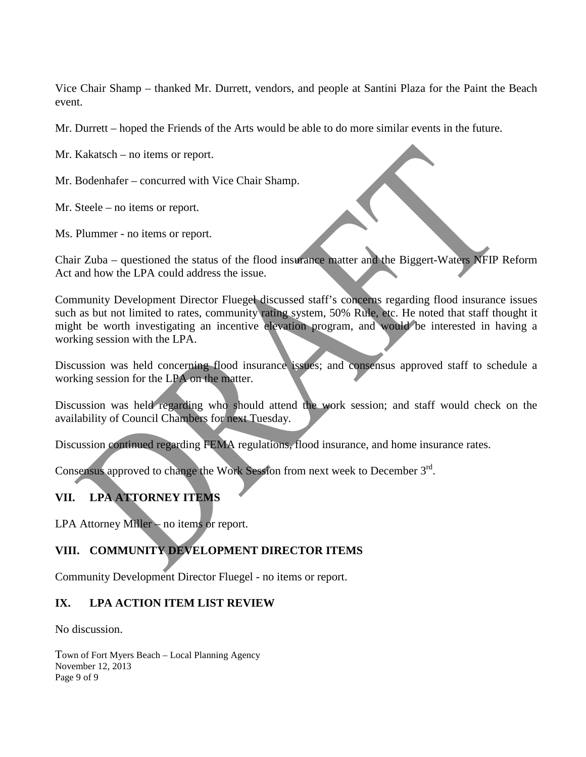Vice Chair Shamp – thanked Mr. Durrett, vendors, and people at Santini Plaza for the Paint the Beach event.

Mr. Durrett – hoped the Friends of the Arts would be able to do more similar events in the future.

Mr. Kakatsch – no items or report.

Mr. Bodenhafer – concurred with Vice Chair Shamp.

Mr. Steele – no items or report.

Ms. Plummer - no items or report.

Chair Zuba – questioned the status of the flood insurance matter and the Biggert-Waters NFIP Reform Act and how the LPA could address the issue.

Community Development Director Fluegel discussed staff's concerns regarding flood insurance issues such as but not limited to rates, community rating system, 50% Rule, etc. He noted that staff thought it might be worth investigating an incentive elevation program, and would be interested in having a working session with the LPA.

Discussion was held concerning flood insurance issues; and consensus approved staff to schedule a working session for the LPA on the matter.

Discussion was held regarding who should attend the work session; and staff would check on the availability of Council Chambers for next Tuesday.

Discussion continued regarding FEMA regulations, flood insurance, and home insurance rates.

Consensus approved to change the Work Session from next week to December 3<sup>rd</sup>.

## **VII. LPA ATTORNEY ITEMS**

LPA Attorney Miller – no items or report.

## **VIII. COMMUNITY DEVELOPMENT DIRECTOR ITEMS**

Community Development Director Fluegel - no items or report.

#### **IX. LPA ACTION ITEM LIST REVIEW**

No discussion.

Town of Fort Myers Beach – Local Planning Agency November 12, 2013 Page 9 of 9